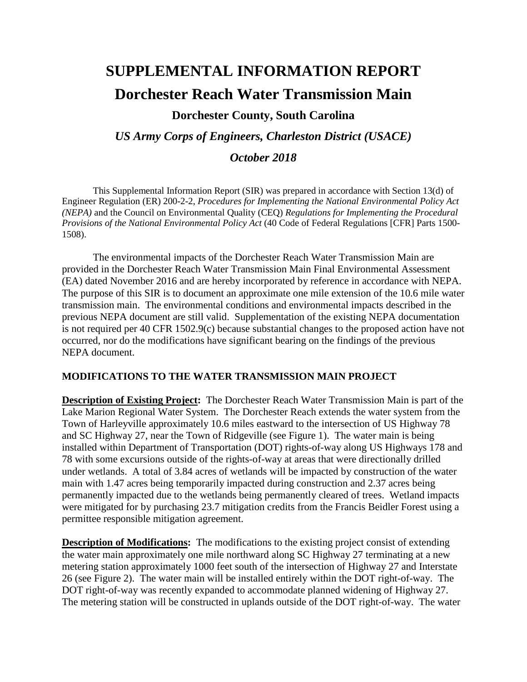# **SUPPLEMENTAL INFORMATION REPORT Dorchester Reach Water Transmission Main Dorchester County, South Carolina**

*US Army Corps of Engineers, Charleston District (USACE)*

## *October 2018*

This Supplemental Information Report (SIR) was prepared in accordance with Section 13(d) of Engineer Regulation (ER) 200-2-2, *Procedures for Implementing the National Environmental Policy Act (NEPA)* and the Council on Environmental Quality (CEQ) *Regulations for Implementing the Procedural Provisions of the National Environmental Policy Act* (40 Code of Federal Regulations [CFR] Parts 1500- 1508).

The environmental impacts of the Dorchester Reach Water Transmission Main are provided in the Dorchester Reach Water Transmission Main Final Environmental Assessment (EA) dated November 2016 and are hereby incorporated by reference in accordance with NEPA. The purpose of this SIR is to document an approximate one mile extension of the 10.6 mile water transmission main. The environmental conditions and environmental impacts described in the previous NEPA document are still valid. Supplementation of the existing NEPA documentation is not required per 40 CFR 1502.9(c) because substantial changes to the proposed action have not occurred, nor do the modifications have significant bearing on the findings of the previous NEPA document.

#### **MODIFICATIONS TO THE WATER TRANSMISSION MAIN PROJECT**

**Description of Existing Project:** The Dorchester Reach Water Transmission Main is part of the Lake Marion Regional Water System. The Dorchester Reach extends the water system from the Town of Harleyville approximately 10.6 miles eastward to the intersection of US Highway 78 and SC Highway 27, near the Town of Ridgeville (see Figure 1). The water main is being installed within Department of Transportation (DOT) rights-of-way along US Highways 178 and 78 with some excursions outside of the rights-of-way at areas that were directionally drilled under wetlands. A total of 3.84 acres of wetlands will be impacted by construction of the water main with 1.47 acres being temporarily impacted during construction and 2.37 acres being permanently impacted due to the wetlands being permanently cleared of trees. Wetland impacts were mitigated for by purchasing 23.7 mitigation credits from the Francis Beidler Forest using a permittee responsible mitigation agreement.

**Description of Modifications:** The modifications to the existing project consist of extending the water main approximately one mile northward along SC Highway 27 terminating at a new metering station approximately 1000 feet south of the intersection of Highway 27 and Interstate 26 (see Figure 2). The water main will be installed entirely within the DOT right-of-way. The DOT right-of-way was recently expanded to accommodate planned widening of Highway 27. The metering station will be constructed in uplands outside of the DOT right-of-way. The water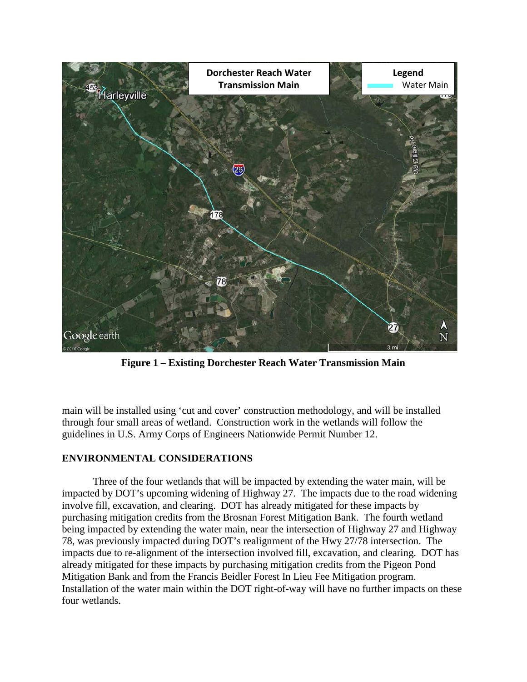

**Figure 1 – Existing Dorchester Reach Water Transmission Main**

main will be installed using 'cut and cover' construction methodology, and will be installed through four small areas of wetland. Construction work in the wetlands will follow the guidelines in U.S. Army Corps of Engineers Nationwide Permit Number 12.

### **ENVIRONMENTAL CONSIDERATIONS**

Three of the four wetlands that will be impacted by extending the water main, will be impacted by DOT's upcoming widening of Highway 27. The impacts due to the road widening involve fill, excavation, and clearing. DOT has already mitigated for these impacts by purchasing mitigation credits from the Brosnan Forest Mitigation Bank. The fourth wetland being impacted by extending the water main, near the intersection of Highway 27 and Highway 78, was previously impacted during DOT's realignment of the Hwy 27/78 intersection. The impacts due to re-alignment of the intersection involved fill, excavation, and clearing. DOT has already mitigated for these impacts by purchasing mitigation credits from the Pigeon Pond Mitigation Bank and from the Francis Beidler Forest In Lieu Fee Mitigation program. Installation of the water main within the DOT right-of-way will have no further impacts on these four wetlands.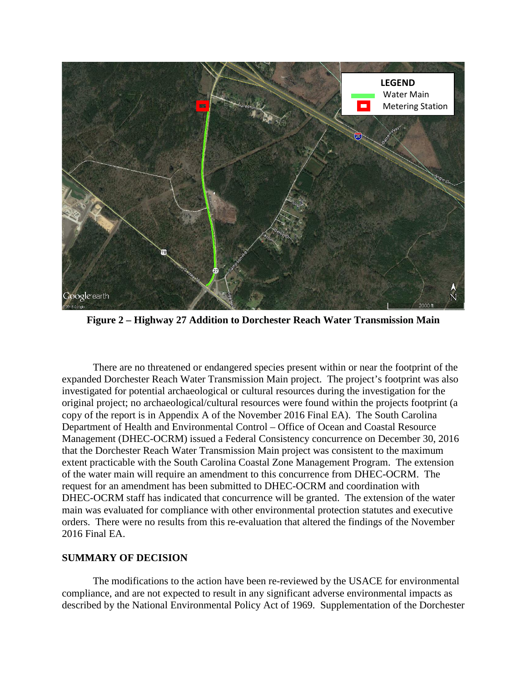

**Figure 2 – Highway 27 Addition to Dorchester Reach Water Transmission Main**

There are no threatened or endangered species present within or near the footprint of the expanded Dorchester Reach Water Transmission Main project. The project's footprint was also investigated for potential archaeological or cultural resources during the investigation for the original project; no archaeological/cultural resources were found within the projects footprint (a copy of the report is in Appendix A of the November 2016 Final EA). The South Carolina Department of Health and Environmental Control – Office of Ocean and Coastal Resource Management (DHEC-OCRM) issued a Federal Consistency concurrence on December 30, 2016 that the Dorchester Reach Water Transmission Main project was consistent to the maximum extent practicable with the South Carolina Coastal Zone Management Program. The extension of the water main will require an amendment to this concurrence from DHEC-OCRM. The request for an amendment has been submitted to DHEC-OCRM and coordination with DHEC-OCRM staff has indicated that concurrence will be granted. The extension of the water main was evaluated for compliance with other environmental protection statutes and executive orders. There were no results from this re-evaluation that altered the findings of the November 2016 Final EA.

#### **SUMMARY OF DECISION**

The modifications to the action have been re-reviewed by the USACE for environmental compliance, and are not expected to result in any significant adverse environmental impacts as described by the National Environmental Policy Act of 1969. Supplementation of the Dorchester